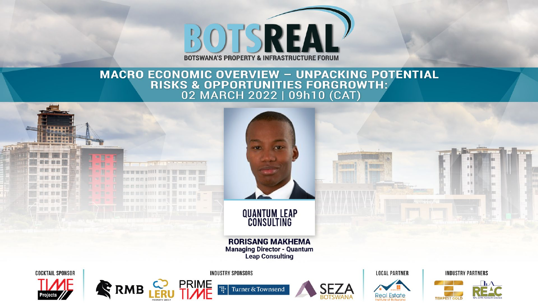

# **MACRO ECONOMIC OVERVIEW - UNPACKING POTENTIAL<br>RISKS & OPPORTUNITIES FORGROWTH:<br>02 MARCH 2022 | 09h10 (CAT)**

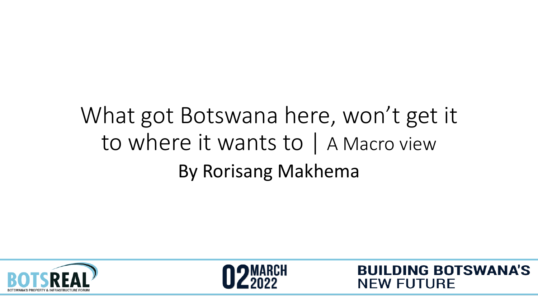# What got Botswana here, won't get it to where it wants to | A Macro view By Rorisang Makhema





**BUILDING BOTSWANA'S**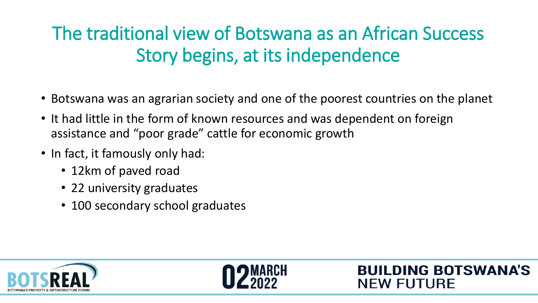#### The traditional view of Botswana as an African Success Story begins, at its independence

- Botswana was an agrarian society and one of the poorest countries on the planet
- It had little in the form of known resources and was dependent on foreign assistance and "poor grade" cattle for economic growth
- In fact, it famously only had:
	- 12km of paved road
	- 22 university graduates
	- 100 secondary school graduates



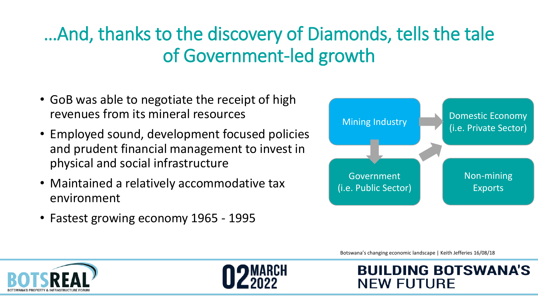#### …And, thanks to the discovery of Diamonds, tells the tale of Government-led growth

- GoB was able to negotiate the receipt of high revenues from its mineral resources
- Employed sound, development focused policies and prudent financial management to invest in physical and social infrastructure
- Maintained a relatively accommodative tax environment
- Fastest growing economy 1965 1995



Botswana's changing economic landscape | Keith Jefferies 16/08/18

**NEW FUTURE** 

**BUILDING BOTSWANA'S** 



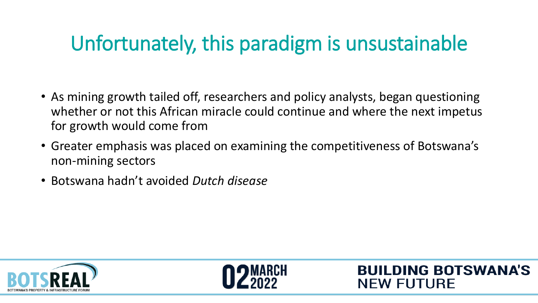### Unfortunately, this paradigm is unsustainable

- As mining growth tailed off, researchers and policy analysts, began questioning whether or not this African miracle could continue and where the next impetus for growth would come from
- Greater emphasis was placed on examining the competitiveness of Botswana's non-mining sectors
- Botswana hadn't avoided *Dutch disease*





**BUILDING BOTSWANA'S**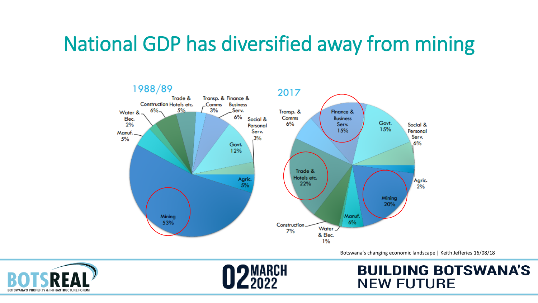#### National GDP has diversified away from mining



Botswana's changing economic landscape | Keith Jefferies 16/08/18



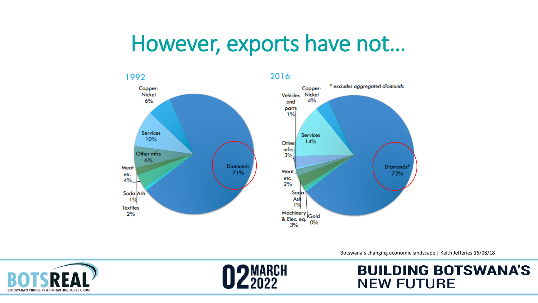### However, exports have not…



Botswana's changing economic landscape | Keith Jefferies 16/08/18



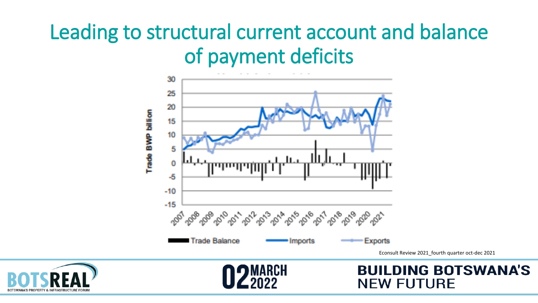#### Leading to structural current account and balance of payment deficits





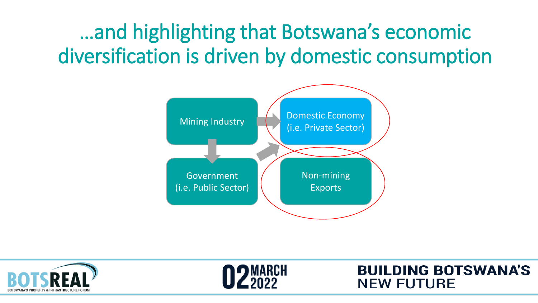…and highlighting that Botswana's economic diversification is driven by domestic consumption





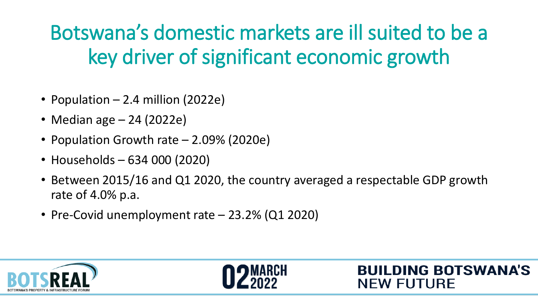### Botswana's domestic markets are ill suited to be a key driver of significant economic growth

- Population 2.4 million (2022e)
- Median age 24 (2022e)
- Population Growth rate 2.09% (2020e)
- Households 634 000 (2020)
- Between 2015/16 and Q1 2020, the country averaged a respectable GDP growth rate of 4.0% p.a.
- Pre-Covid unemployment rate 23.2% (Q1 2020)





**BUILDING BOTSWANA'S**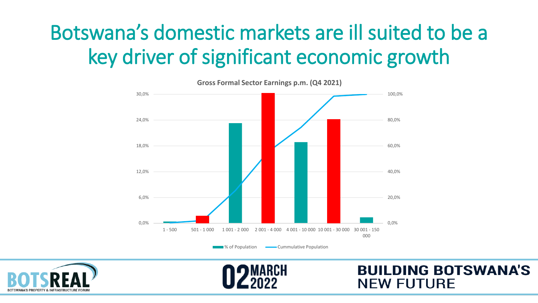### Botswana's domestic markets are ill suited to be a key driver of significant economic growth



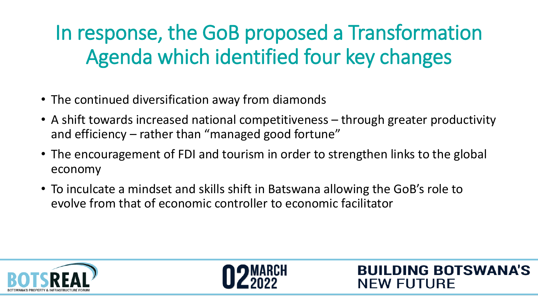# In response, the GoB proposed a Transformation Agenda which identified four key changes

- The continued diversification away from diamonds
- A shift towards increased national competitiveness through greater productivity and efficiency – rather than "managed good fortune"
- The encouragement of FDI and tourism in order to strengthen links to the global economy
- To inculcate a mindset and skills shift in Batswana allowing the GoB's role to evolve from that of economic controller to economic facilitator





**BUILDING BOTSWANA'S**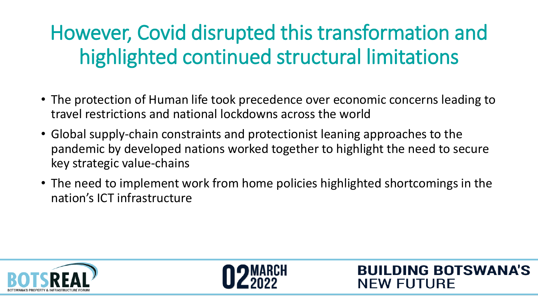# However, Covid disrupted this transformation and highlighted continued structural limitations

- The protection of Human life took precedence over economic concerns leading to travel restrictions and national lockdowns across the world
- Global supply-chain constraints and protectionist leaning approaches to the pandemic by developed nations worked together to highlight the need to secure key strategic value-chains
- The need to implement work from home policies highlighted shortcomings in the nation's ICT infrastructure





**BUILDING BOTSWANA'S**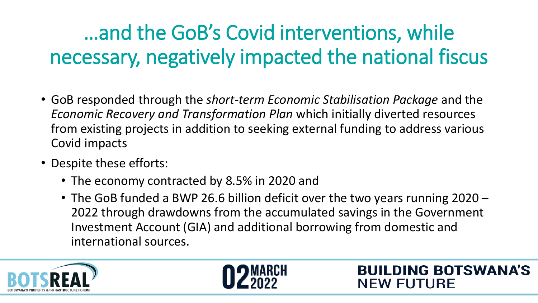# …and the GoB's Covid interventions, while necessary, negatively impacted the national fiscus

- GoB responded through the *short-term Economic Stabilisation Package* and the *Economic Recovery and Transformation Plan* which initially diverted resources from existing projects in addition to seeking external funding to address various Covid impacts
- Despite these efforts:
	- The economy contracted by 8.5% in 2020 and
	- The GoB funded a BWP 26.6 billion deficit over the two years running 2020 2022 through drawdowns from the accumulated savings in the Government Investment Account (GIA) and additional borrowing from domestic and international sources.

**BUILDING BOTSWANA'S** 



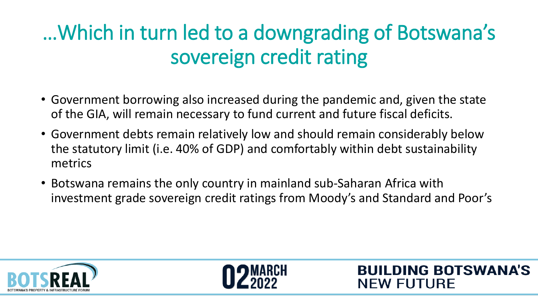# …Which in turn led to a downgrading of Botswana's sovereign credit rating

- Government borrowing also increased during the pandemic and, given the state of the GIA, will remain necessary to fund current and future fiscal deficits.
- Government debts remain relatively low and should remain considerably below the statutory limit (i.e. 40% of GDP) and comfortably within debt sustainability metrics
- Botswana remains the only country in mainland sub-Saharan Africa with investment grade sovereign credit ratings from Moody's and Standard and Poor's





**BUILDING BOTSWANA'S**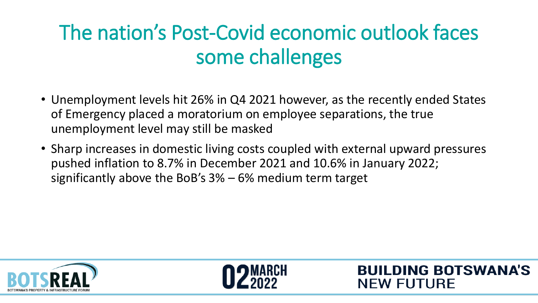### The nation's Post-Covid economic outlook faces some challenges

- Unemployment levels hit 26% in Q4 2021 however, as the recently ended States of Emergency placed a moratorium on employee separations, the true unemployment level may still be masked
- Sharp increases in domestic living costs coupled with external upward pressures pushed inflation to 8.7% in December 2021 and 10.6% in January 2022; significantly above the BoB's 3% – 6% medium term target





**BUILDING BOTSWANA'S**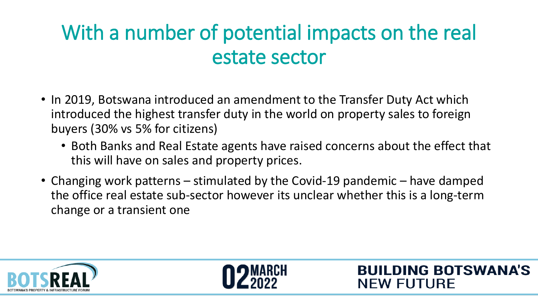### With a number of potential impacts on the real estate sector

- In 2019, Botswana introduced an amendment to the Transfer Duty Act which introduced the highest transfer duty in the world on property sales to foreign buyers (30% vs 5% for citizens)
	- Both Banks and Real Estate agents have raised concerns about the effect that this will have on sales and property prices.
- Changing work patterns stimulated by the Covid-19 pandemic have damped the office real estate sub-sector however its unclear whether this is a long-term change or a transient one





**BUILDING BOTSWANA'S**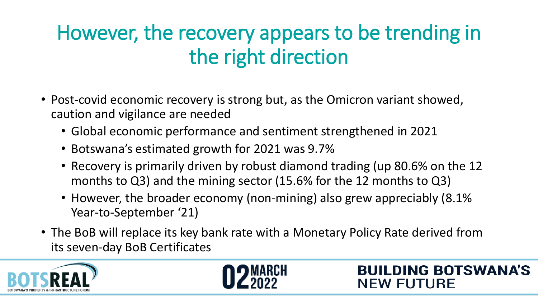### However, the recovery appears to be trending in the right direction

- Post-covid economic recovery is strong but, as the Omicron variant showed, caution and vigilance are needed
	- Global economic performance and sentiment strengthened in 2021
	- Botswana's estimated growth for 2021 was 9.7%
	- Recovery is primarily driven by robust diamond trading (up 80.6% on the 12 months to Q3) and the mining sector (15.6% for the 12 months to Q3)
	- However, the broader economy (non-mining) also grew appreciably (8.1% Year-to-September '21)
- The BoB will replace its key bank rate with a Monetary Policy Rate derived from its seven-day BoB Certificates

**BUILDING BOTSWANA'S** 



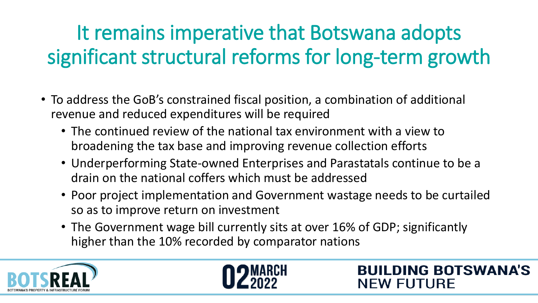# It remains imperative that Botswana adopts significant structural reforms for long-term growth

- To address the GoB's constrained fiscal position, a combination of additional revenue and reduced expenditures will be required
	- The continued review of the national tax environment with a view to broadening the tax base and improving revenue collection efforts
	- Underperforming State-owned Enterprises and Parastatals continue to be a drain on the national coffers which must be addressed
	- Poor project implementation and Government wastage needs to be curtailed so as to improve return on investment

**BUILDING BOTSWANA'S** 

**NEW FUTURE** 

• The Government wage bill currently sits at over 16% of GDP; significantly higher than the 10% recorded by comparator nations



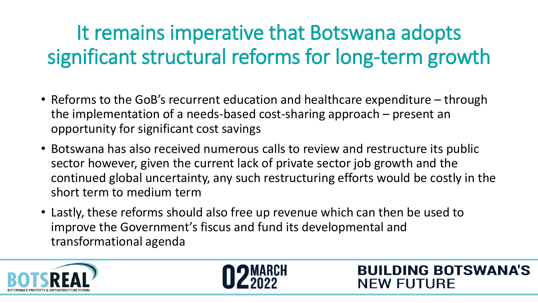# It remains imperative that Botswana adopts significant structural reforms for long-term growth

- Reforms to the GoB's recurrent education and healthcare expenditure through the implementation of a needs-based cost-sharing approach – present an opportunity for significant cost savings
- Botswana has also received numerous calls to review and restructure its public sector however, given the current lack of private sector job growth and the continued global uncertainty, any such restructuring efforts would be costly in the short term to medium term
- Lastly, these reforms should also free up revenue which can then be used to improve the Government's fiscus and fund its developmental and transformational agenda





**BUILDING BOTSWANA'S**